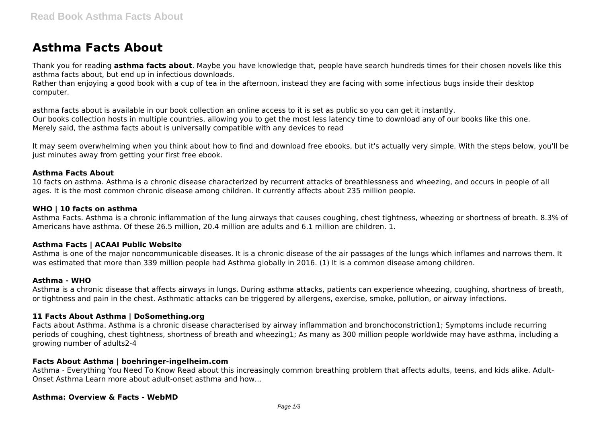# **Asthma Facts About**

Thank you for reading **asthma facts about**. Maybe you have knowledge that, people have search hundreds times for their chosen novels like this asthma facts about, but end up in infectious downloads.

Rather than enjoying a good book with a cup of tea in the afternoon, instead they are facing with some infectious bugs inside their desktop computer.

asthma facts about is available in our book collection an online access to it is set as public so you can get it instantly. Our books collection hosts in multiple countries, allowing you to get the most less latency time to download any of our books like this one. Merely said, the asthma facts about is universally compatible with any devices to read

It may seem overwhelming when you think about how to find and download free ebooks, but it's actually very simple. With the steps below, you'll be just minutes away from getting your first free ebook.

#### **Asthma Facts About**

10 facts on asthma. Asthma is a chronic disease characterized by recurrent attacks of breathlessness and wheezing, and occurs in people of all ages. It is the most common chronic disease among children. It currently affects about 235 million people.

## **WHO | 10 facts on asthma**

Asthma Facts. Asthma is a chronic inflammation of the lung airways that causes coughing, chest tightness, wheezing or shortness of breath. 8.3% of Americans have asthma. Of these 26.5 million, 20.4 million are adults and 6.1 million are children. 1.

#### **Asthma Facts | ACAAI Public Website**

Asthma is one of the major noncommunicable diseases. It is a chronic disease of the air passages of the lungs which inflames and narrows them. It was estimated that more than 339 million people had Asthma globally in 2016. (1) It is a common disease among children.

#### **Asthma - WHO**

Asthma is a chronic disease that affects airways in lungs. During asthma attacks, patients can experience wheezing, coughing, shortness of breath, or tightness and pain in the chest. Asthmatic attacks can be triggered by allergens, exercise, smoke, pollution, or airway infections.

#### **11 Facts About Asthma | DoSomething.org**

Facts about Asthma. Asthma is a chronic disease characterised by airway inflammation and bronchoconstriction1; Symptoms include recurring periods of coughing, chest tightness, shortness of breath and wheezing1; As many as 300 million people worldwide may have asthma, including a growing number of adults2-4

#### **Facts About Asthma | boehringer-ingelheim.com**

Asthma - Everything You Need To Know Read about this increasingly common breathing problem that affects adults, teens, and kids alike. Adult-Onset Asthma Learn more about adult-onset asthma and how...

#### **Asthma: Overview & Facts - WebMD**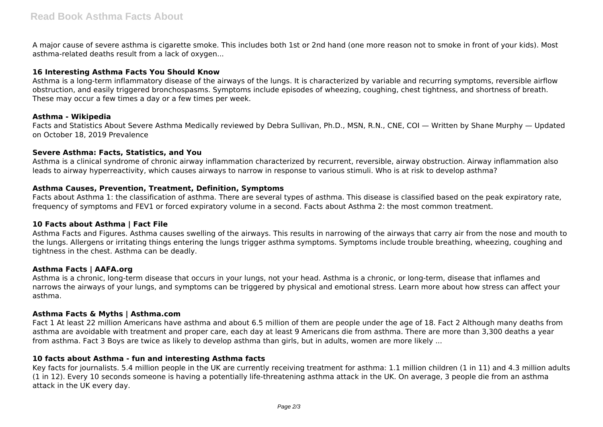A major cause of severe asthma is cigarette smoke. This includes both 1st or 2nd hand (one more reason not to smoke in front of your kids). Most asthma-related deaths result from a lack of oxygen...

## **16 Interesting Asthma Facts You Should Know**

Asthma is a long-term inflammatory disease of the airways of the lungs. It is characterized by variable and recurring symptoms, reversible airflow obstruction, and easily triggered bronchospasms. Symptoms include episodes of wheezing, coughing, chest tightness, and shortness of breath. These may occur a few times a day or a few times per week.

## **Asthma - Wikipedia**

Facts and Statistics About Severe Asthma Medically reviewed by Debra Sullivan, Ph.D., MSN, R.N., CNE, COI — Written by Shane Murphy — Updated on October 18, 2019 Prevalence

## **Severe Asthma: Facts, Statistics, and You**

Asthma is a clinical syndrome of chronic airway inflammation characterized by recurrent, reversible, airway obstruction. Airway inflammation also leads to airway hyperreactivity, which causes airways to narrow in response to various stimuli. Who is at risk to develop asthma?

# **Asthma Causes, Prevention, Treatment, Definition, Symptoms**

Facts about Asthma 1: the classification of asthma. There are several types of asthma. This disease is classified based on the peak expiratory rate, frequency of symptoms and FEV1 or forced expiratory volume in a second. Facts about Asthma 2: the most common treatment.

# **10 Facts about Asthma | Fact File**

Asthma Facts and Figures. Asthma causes swelling of the airways. This results in narrowing of the airways that carry air from the nose and mouth to the lungs. Allergens or irritating things entering the lungs trigger asthma symptoms. Symptoms include trouble breathing, wheezing, coughing and tightness in the chest. Asthma can be deadly.

# **Asthma Facts | AAFA.org**

Asthma is a chronic, long-term disease that occurs in your lungs, not your head. Asthma is a chronic, or long-term, disease that inflames and narrows the airways of your lungs, and symptoms can be triggered by physical and emotional stress. Learn more about how stress can affect your asthma.

# **Asthma Facts & Myths | Asthma.com**

Fact 1 At least 22 million Americans have asthma and about 6.5 million of them are people under the age of 18. Fact 2 Although many deaths from asthma are avoidable with treatment and proper care, each day at least 9 Americans die from asthma. There are more than 3,300 deaths a year from asthma. Fact 3 Boys are twice as likely to develop asthma than girls, but in adults, women are more likely ...

# **10 facts about Asthma - fun and interesting Asthma facts**

Key facts for journalists. 5.4 million people in the UK are currently receiving treatment for asthma: 1.1 million children (1 in 11) and 4.3 million adults (1 in 12). Every 10 seconds someone is having a potentially life-threatening asthma attack in the UK. On average, 3 people die from an asthma attack in the UK every day.